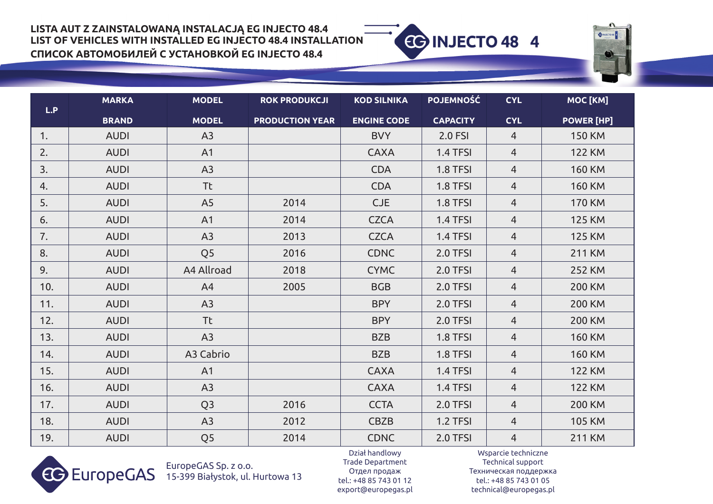**MODEL**

**MARKA**



| L.P |              |                |                        |                    |                 |                |                   |
|-----|--------------|----------------|------------------------|--------------------|-----------------|----------------|-------------------|
|     | <b>BRAND</b> | <b>MODEL</b>   | <b>PRODUCTION YEAR</b> | <b>ENGINE CODE</b> | <b>CAPACITY</b> | <b>CYL</b>     | <b>POWER [HP]</b> |
| 1.  | <b>AUDI</b>  | A3             |                        | <b>BVY</b>         | 2.0 FSI         | $\overline{4}$ | <b>150 KM</b>     |
| 2.  | <b>AUDI</b>  | A1             |                        | <b>CAXA</b>        | 1.4 TFSI        | $\overline{4}$ | <b>122 KM</b>     |
| 3.  | <b>AUDI</b>  | A3             |                        | <b>CDA</b>         | 1.8 TFSI        | $\overline{4}$ | <b>160 KM</b>     |
| 4.  | <b>AUDI</b>  | <b>Tt</b>      |                        | <b>CDA</b>         | <b>1.8 TFSI</b> | $\overline{4}$ | <b>160 KM</b>     |
| 5.  | <b>AUDI</b>  | A <sub>5</sub> | 2014                   | CJE                | <b>1.8 TFSI</b> | $\overline{4}$ | <b>170 KM</b>     |
| 6.  | <b>AUDI</b>  | A1             | 2014                   | <b>CZCA</b>        | 1.4 TFSI        | $\overline{4}$ | <b>125 KM</b>     |
| 7.  | <b>AUDI</b>  | A3             | 2013                   | <b>CZCA</b>        | 1.4 TFSI        | $\overline{4}$ | <b>125 KM</b>     |
| 8.  | <b>AUDI</b>  | Q <sub>5</sub> | 2016                   | <b>CDNC</b>        | 2.0 TFSI        | $\overline{4}$ | <b>211 KM</b>     |
| 9.  | <b>AUDI</b>  | A4 Allroad     | 2018                   | <b>CYMC</b>        | 2.0 TFSI        | $\overline{4}$ | <b>252 KM</b>     |
| 10. | <b>AUDI</b>  | A4             | 2005                   | <b>BGB</b>         | 2.0 TFSI        | $\overline{4}$ | <b>200 KM</b>     |
| 11. | <b>AUDI</b>  | A3             |                        | <b>BPY</b>         | 2.0 TFSI        | $\overline{4}$ | <b>200 KM</b>     |
| 12. | <b>AUDI</b>  | <b>Tt</b>      |                        | <b>BPY</b>         | 2.0 TFSI        | $\overline{4}$ | <b>200 KM</b>     |
| 13. | <b>AUDI</b>  | A3             |                        | <b>BZB</b>         | <b>1.8 TFSI</b> | $\overline{4}$ | <b>160 KM</b>     |
| 14. | <b>AUDI</b>  | A3 Cabrio      |                        | <b>BZB</b>         | 1.8 TFSI        | $\overline{4}$ | <b>160 KM</b>     |
| 15. | <b>AUDI</b>  | A1             |                        | <b>CAXA</b>        | 1.4 TFSI        | $\overline{4}$ | <b>122 KM</b>     |
| 16. | <b>AUDI</b>  | A3             |                        | <b>CAXA</b>        | 1.4 TFSI        | $\overline{4}$ | <b>122 KM</b>     |
| 17. | <b>AUDI</b>  | Q <sub>3</sub> | 2016                   | <b>CCTA</b>        | 2.0 TFSI        | $\overline{4}$ | <b>200 KM</b>     |
| 18. | <b>AUDI</b>  | A3             | 2012                   | CBZB               | 1.2 TFSI        | $\overline{4}$ | <b>105 KM</b>     |
| 19. | <b>AUDI</b>  | Q <sub>5</sub> | 2014                   | <b>CDNC</b>        | 2.0 TFSI        | $\overline{4}$ | <b>211 KM</b>     |



EuropeGAS Sp. z o.o. 15-399 Białystok, ul. Hurtowa 13

Dział handlowy Trade Department Oтдел продаж tel.: +48 85 743 01 12 export@europegas.pl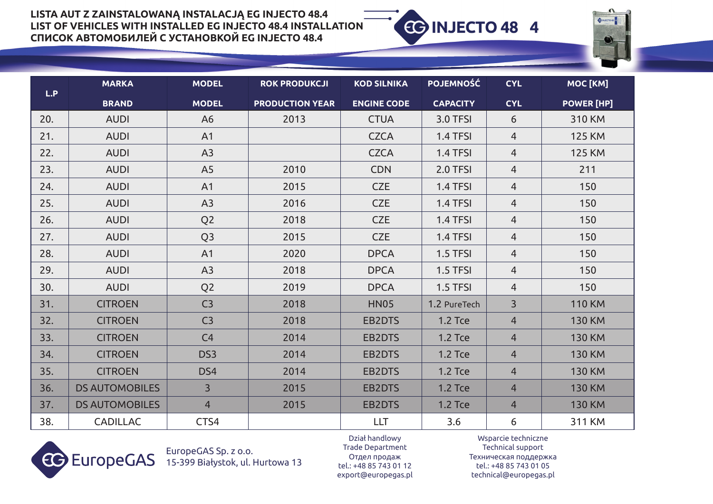

|     | <b>MARKA</b>          | <b>MODEL</b>    | <b>ROK PRODUKCJI</b>   | <b>KOD SILNIKA</b> | <b>POJEMNOŚĆ</b> | <b>CYL</b>     | MOC [KM]          |
|-----|-----------------------|-----------------|------------------------|--------------------|------------------|----------------|-------------------|
| L.P | <b>BRAND</b>          | <b>MODEL</b>    | <b>PRODUCTION YEAR</b> | <b>ENGINE CODE</b> | <b>CAPACITY</b>  | <b>CYL</b>     | <b>POWER [HP]</b> |
| 20. | <b>AUDI</b>           | A <sub>6</sub>  | 2013                   | <b>CTUA</b>        | <b>3.0 TFSI</b>  | 6              | 310 KM            |
| 21. | <b>AUDI</b>           | A1              |                        | <b>CZCA</b>        | 1.4 TFSI         | $\overline{4}$ | <b>125 KM</b>     |
| 22. | <b>AUDI</b>           | A3              |                        | <b>CZCA</b>        | 1.4 TFSI         | $\overline{4}$ | <b>125 KM</b>     |
| 23. | <b>AUDI</b>           | A <sub>5</sub>  | 2010                   | <b>CDN</b>         | 2.0 TFSI         | $\overline{4}$ | 211               |
| 24. | <b>AUDI</b>           | A1              | 2015                   | <b>CZE</b>         | 1.4 TFSI         | $\overline{4}$ | 150               |
| 25. | <b>AUDI</b>           | A3              | 2016                   | <b>CZE</b>         | 1.4 TFSI         | $\overline{4}$ | 150               |
| 26. | <b>AUDI</b>           | Q <sub>2</sub>  | 2018                   | <b>CZE</b>         | 1.4 TFSI         | $\overline{4}$ | 150               |
| 27. | <b>AUDI</b>           | Q <sub>3</sub>  | 2015                   | <b>CZE</b>         | 1.4 TFSI         | $\overline{4}$ | 150               |
| 28. | <b>AUDI</b>           | A1              | 2020                   | <b>DPCA</b>        | 1.5 TFSI         | $\overline{4}$ | 150               |
| 29. | <b>AUDI</b>           | A3              | 2018                   | <b>DPCA</b>        | 1.5 TFSI         | $\overline{4}$ | 150               |
| 30. | <b>AUDI</b>           | Q <sub>2</sub>  | 2019                   | <b>DPCA</b>        | 1.5 TFSI         | $\overline{4}$ | 150               |
| 31. | <b>CITROEN</b>        | C <sub>3</sub>  | 2018                   | <b>HN05</b>        | 1.2 PureTech     | $\overline{3}$ | <b>110 KM</b>     |
| 32. | <b>CITROEN</b>        | C <sub>3</sub>  | 2018                   | EB2DTS             | <b>1.2 Tce</b>   | $\overline{4}$ | <b>130 KM</b>     |
| 33. | <b>CITROEN</b>        | C4              | 2014                   | EB2DTS             | <b>1.2 Tce</b>   | $\overline{4}$ | <b>130 KM</b>     |
| 34. | <b>CITROEN</b>        | DS <sub>3</sub> | 2014                   | EB2DTS             | <b>1.2 Tce</b>   | $\overline{4}$ | <b>130 KM</b>     |
| 35. | <b>CITROEN</b>        | DS4             | 2014                   | <b>EB2DTS</b>      | <b>1.2 Tce</b>   | $\overline{4}$ | <b>130 KM</b>     |
| 36. | <b>DS AUTOMOBILES</b> | $\overline{3}$  | 2015                   | <b>EB2DTS</b>      | <b>1.2 Tce</b>   | $\overline{4}$ | <b>130 KM</b>     |
| 37. | <b>DS AUTOMOBILES</b> | $\overline{4}$  | 2015                   | <b>EB2DTS</b>      | <b>1.2 Tce</b>   | $\overline{4}$ | <b>130 KM</b>     |
| 38. | <b>CADILLAC</b>       | CTS4            |                        | <b>LLT</b>         | 3.6              | 6              | 311 KM            |



EuropeGAS Sp. z o.o. 15-399 Białystok, ul. Hurtowa 13

Dział handlowy Trade Department Oтдел продаж tel.: +48 85 743 01 12 export@europegas.pl

Wsparcie techniczne Technical support Техническая поддержка tel.: +48 85 743 01 05 technical@europegas.pl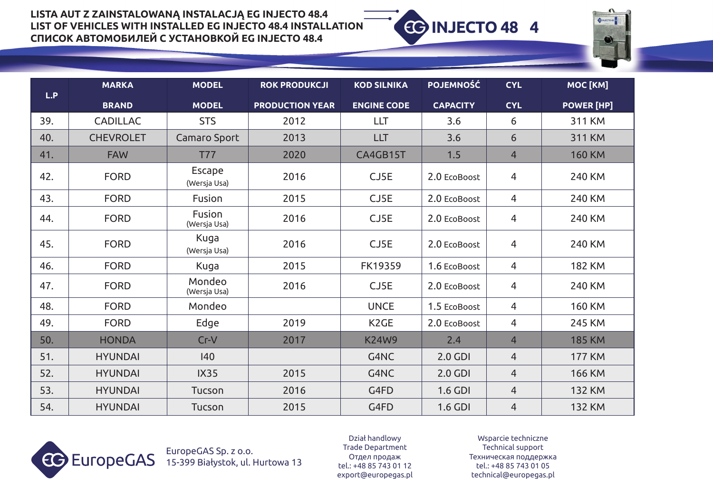

|     | <b>MARKA</b>     | <b>MODEL</b>                  | <b>ROK PRODUKCJI</b>   | <b>KOD SILNIKA</b> | <b>POJEMNOŚĆ</b> | <b>CYL</b>     | MOC [KM]          |
|-----|------------------|-------------------------------|------------------------|--------------------|------------------|----------------|-------------------|
| L.P | <b>BRAND</b>     | <b>MODEL</b>                  | <b>PRODUCTION YEAR</b> | <b>ENGINE CODE</b> | <b>CAPACITY</b>  | <b>CYL</b>     | <b>POWER [HP]</b> |
| 39. | <b>CADILLAC</b>  | <b>STS</b>                    | 2012                   | <b>LLT</b>         | 3.6              | 6              | 311 KM            |
| 40. | <b>CHEVROLET</b> | Camaro Sport                  | 2013                   | <b>LLT</b>         | 3.6              | 6              | 311 KM            |
| 41. | <b>FAW</b>       | <b>T77</b>                    | 2020                   | CA4GB15T           | 1.5              | $\overline{4}$ | <b>160 KM</b>     |
| 42. | <b>FORD</b>      | <b>Escape</b><br>(Wersja Usa) | 2016                   | CJ5E               | 2.0 EcoBoost     | 4              | 240 KM            |
| 43. | <b>FORD</b>      | Fusion                        | 2015                   | CJ5E               | 2.0 EcoBoost     | 4              | 240 KM            |
| 44. | <b>FORD</b>      | Fusion<br>(Wersja Usa)        | 2016                   | CJ5E               | 2.0 EcoBoost     | 4              | 240 KM            |
| 45. | <b>FORD</b>      | Kuga<br>(Wersja Usa)          | 2016                   | CJ5E               | 2.0 EcoBoost     | $\overline{4}$ | 240 KM            |
| 46. | <b>FORD</b>      | Kuga                          | 2015                   | FK19359            | 1.6 EcoBoost     | 4              | <b>182 KM</b>     |
| 47. | <b>FORD</b>      | Mondeo<br>(Wersja Usa)        | 2016                   | CJ5E               | 2.0 EcoBoost     | $\overline{4}$ | 240 KM            |
| 48. | <b>FORD</b>      | Mondeo                        |                        | <b>UNCE</b>        | 1.5 EcoBoost     | $\overline{4}$ | <b>160 KM</b>     |
| 49. | <b>FORD</b>      | Edge                          | 2019                   | K <sub>2</sub> GE  | 2.0 EcoBoost     | 4              | 245 KM            |
| 50. | <b>HONDA</b>     | $Cr-V$                        | 2017                   | <b>K24W9</b>       | 2.4              | $\overline{4}$ | <b>185 KM</b>     |
| 51. | <b>HYUNDAI</b>   | 140                           |                        | G4NC               | 2.0 GDI          | $\overline{4}$ | <b>177 KM</b>     |
| 52. | <b>HYUNDAI</b>   | <b>IX35</b>                   | 2015                   | G4NC               | 2.0 GDI          | $\overline{4}$ | <b>166 KM</b>     |
| 53. | <b>HYUNDAI</b>   | Tucson                        | 2016                   | G4FD               | 1.6 GDI          | $\overline{4}$ | <b>132 KM</b>     |
| 54. | <b>HYUNDAI</b>   | Tucson                        | 2015                   | G4FD               | 1.6 GDI          | $\overline{4}$ | <b>132 KM</b>     |



EuropeGAS Sp. z o.o. 15-399 Białystok, ul. Hurtowa 13

Dział handlowy Trade Department Oтдел продаж tel.: +48 85 743 01 12 export@europegas.pl

Wsparcie techniczne Technical support Техническая поддержка tel.: +48 85 743 01 05 technical@europegas.pl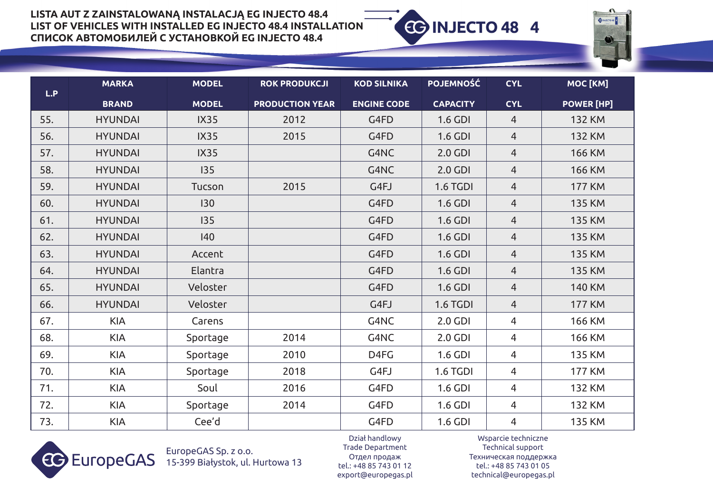

|     | <b>MARKA</b>   | <b>MODEL</b> | <b>ROK PRODUKCJI</b>   | <b>KOD SILNIKA</b> | <b>POJEMNOŚĆ</b> | <b>CYL</b>     | MOC [KM]          |
|-----|----------------|--------------|------------------------|--------------------|------------------|----------------|-------------------|
| L.P | <b>BRAND</b>   | <b>MODEL</b> | <b>PRODUCTION YEAR</b> | <b>ENGINE CODE</b> | <b>CAPACITY</b>  | <b>CYL</b>     | <b>POWER [HP]</b> |
| 55. | <b>HYUNDAI</b> | <b>IX35</b>  | 2012                   | G4FD               | 1.6 GDI          | $\overline{4}$ | <b>132 KM</b>     |
| 56. | <b>HYUNDAI</b> | <b>IX35</b>  | 2015                   | G4FD               | 1.6 GDI          | $\overline{4}$ | <b>132 KM</b>     |
| 57. | <b>HYUNDAI</b> | <b>IX35</b>  |                        | G4NC               | 2.0 GDI          | $\overline{4}$ | <b>166 KM</b>     |
| 58. | <b>HYUNDAI</b> | 135          |                        | G4NC               | 2.0 GDI          | $\overline{4}$ | <b>166 KM</b>     |
| 59. | <b>HYUNDAI</b> | Tucson       | 2015                   | G4FJ               | 1.6 TGDI         | $\overline{4}$ | <b>177 KM</b>     |
| 60. | <b>HYUNDAI</b> | 130          |                        | G4FD               | 1.6 GDI          | $\overline{4}$ | <b>135 KM</b>     |
| 61. | <b>HYUNDAI</b> | 135          |                        | G4FD               | 1.6 GDI          | $\overline{4}$ | <b>135 KM</b>     |
| 62. | <b>HYUNDAI</b> | $ 40\rangle$ |                        | G4FD               | 1.6 GDI          | $\overline{4}$ | <b>135 KM</b>     |
| 63. | <b>HYUNDAI</b> | Accent       |                        | G4FD               | 1.6 GDI          | $\overline{4}$ | <b>135 KM</b>     |
| 64. | <b>HYUNDAI</b> | Elantra      |                        | G4FD               | 1.6 GDI          | $\overline{4}$ | <b>135 KM</b>     |
| 65. | <b>HYUNDAI</b> | Veloster     |                        | G4FD               | 1.6 GDI          | $\overline{4}$ | <b>140 KM</b>     |
| 66. | <b>HYUNDAI</b> | Veloster     |                        | G4FJ               | 1.6 TGDI         | $\overline{4}$ | <b>177 KM</b>     |
| 67. | <b>KIA</b>     | Carens       |                        | G4NC               | 2.0 GDI          | $\overline{4}$ | <b>166 KM</b>     |
| 68. | <b>KIA</b>     | Sportage     | 2014                   | G4NC               | 2.0 GDI          | 4              | <b>166 KM</b>     |
| 69. | <b>KIA</b>     | Sportage     | 2010                   | D4FG               | 1.6 GDI          | 4              | <b>135 KM</b>     |
| 70. | <b>KIA</b>     | Sportage     | 2018                   | G4FJ               | 1.6 TGDI         | 4              | <b>177 KM</b>     |
| 71. | <b>KIA</b>     | Soul         | 2016                   | G4FD               | 1.6 GDI          | 4              | <b>132 KM</b>     |
| 72. | <b>KIA</b>     | Sportage     | 2014                   | G4FD               | 1.6 GDI          | 4              | <b>132 KM</b>     |
| 73. | <b>KIA</b>     | Cee'd        |                        | G4FD               | 1.6 GDI          | 4              | <b>135 KM</b>     |



EuropeGAS Sp. z o.o. 15-399 Białystok, ul. Hurtowa 13

Dział handlowy Trade Department Oтдел продаж tel.: +48 85 743 01 12 export@europegas.pl

Wsparcie techniczne Technical support Техническая поддержка tel.: +48 85 743 01 05 technical@europegas.pl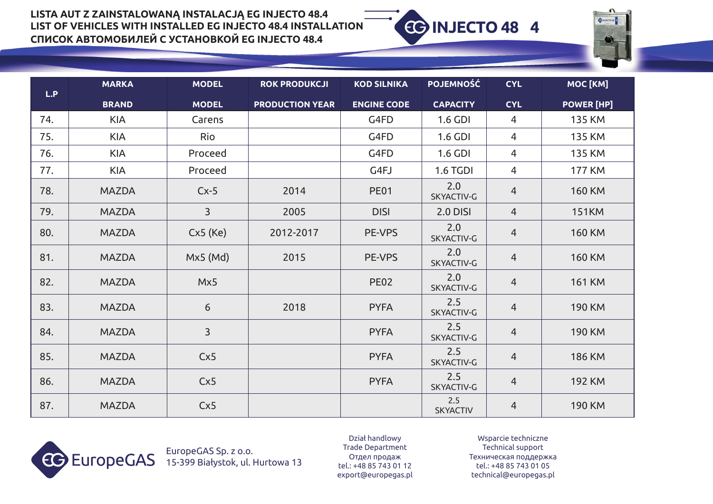



|     | <b>MARKA</b> | <b>MODEL</b>   | <b>ROK PRODUKCJI</b>   | <b>KOD SILNIKA</b> | <b>POJEMNOŚĆ</b>       | <b>CYL</b>     | MOC [KM]          |
|-----|--------------|----------------|------------------------|--------------------|------------------------|----------------|-------------------|
| L.P | <b>BRAND</b> | <b>MODEL</b>   | <b>PRODUCTION YEAR</b> | <b>ENGINE CODE</b> | <b>CAPACITY</b>        | <b>CYL</b>     | <b>POWER [HP]</b> |
| 74. | <b>KIA</b>   | Carens         |                        | G4FD               | 1.6 GDI                | $\overline{4}$ | <b>135 KM</b>     |
| 75. | <b>KIA</b>   | Rio            |                        | G4FD               | 1.6 GDI                | $\overline{4}$ | <b>135 KM</b>     |
| 76. | <b>KIA</b>   | Proceed        |                        | G4FD               | 1.6 GDI                | $\overline{4}$ | <b>135 KM</b>     |
| 77. | <b>KIA</b>   | Proceed        |                        | G4FJ               | <b>1.6 TGDI</b>        | $\overline{4}$ | <b>177 KM</b>     |
| 78. | <b>MAZDA</b> | $Cx-5$         | 2014                   | <b>PE01</b>        | 2.0<br>SKYACTIV-G      | $\overline{4}$ | <b>160 KM</b>     |
| 79. | <b>MAZDA</b> | $\overline{3}$ | 2005                   | <b>DISI</b>        | <b>2.0 DISI</b>        | $\overline{4}$ | <b>151KM</b>      |
| 80. | <b>MAZDA</b> | Cx5(Ke)        | 2012-2017              | PE-VPS             | 2.0<br>SKYACTIV-G      | $\overline{4}$ | <b>160 KM</b>     |
| 81. | <b>MAZDA</b> | $Mx5$ (Md)     | 2015                   | PE-VPS             | 2.0<br>SKYACTIV-G      | $\overline{4}$ | <b>160 KM</b>     |
| 82. | <b>MAZDA</b> | Mx5            |                        | <b>PE02</b>        | 2.0<br>SKYACTIV-G      | $\overline{4}$ | <b>161 KM</b>     |
| 83. | <b>MAZDA</b> | 6              | 2018                   | <b>PYFA</b>        | 2.5<br>SKYACTIV-G      | $\overline{4}$ | <b>190 KM</b>     |
| 84. | <b>MAZDA</b> | $\overline{3}$ |                        | <b>PYFA</b>        | 2.5<br>SKYACTIV-G      | $\overline{4}$ | <b>190 KM</b>     |
| 85. | <b>MAZDA</b> | Cx5            |                        | <b>PYFA</b>        | 2.5<br>SKYACTIV-G      | $\overline{4}$ | <b>186 KM</b>     |
| 86. | <b>MAZDA</b> | Cx5            |                        | <b>PYFA</b>        | 2.5<br>SKYACTIV-G      | $\overline{4}$ | <b>192 KM</b>     |
| 87. | <b>MAZDA</b> | Cx5            |                        |                    | 2.5<br><b>SKYACTIV</b> | $\overline{4}$ | <b>190 KM</b>     |



EuropeGAS Sp. z o.o. 15-399 Białystok, ul. Hurtowa 13

Dział handlowy Trade Department Oтдел продаж tel.: +48 85 743 01 12 export@europegas.pl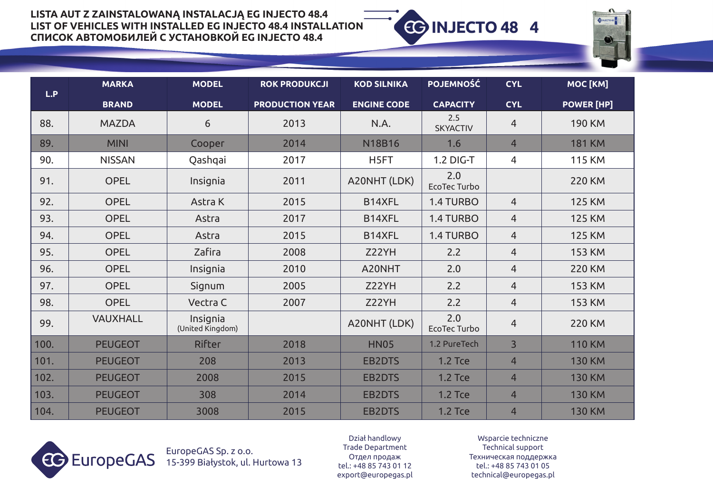

| L.P  | <b>MARKA</b>    | <b>MODEL</b>                 | <b>ROK PRODUKCJI</b>   | <b>KOD SILNIKA</b> | <b>POJEMNOŚĆ</b>           | <b>CYL</b>     | MOC [KM]          |
|------|-----------------|------------------------------|------------------------|--------------------|----------------------------|----------------|-------------------|
|      | <b>BRAND</b>    | <b>MODEL</b>                 | <b>PRODUCTION YEAR</b> | <b>ENGINE CODE</b> | <b>CAPACITY</b>            | <b>CYL</b>     | <b>POWER [HP]</b> |
| 88.  | <b>MAZDA</b>    | 6                            | 2013                   | N.A.               | 2.5<br><b>SKYACTIV</b>     | 4              | <b>190 KM</b>     |
| 89.  | <b>MINI</b>     | Cooper                       | 2014                   | <b>N18B16</b>      | 1.6                        | $\overline{4}$ | <b>181 KM</b>     |
| 90.  | <b>NISSAN</b>   | Qashqai                      | 2017                   | H5FT               | 1.2 DIG-T                  | 4              | <b>115 KM</b>     |
| 91.  | <b>OPEL</b>     | Insignia                     | 2011                   | A20NHT (LDK)       | 2.0<br><b>EcoTec Turbo</b> |                | <b>220 KM</b>     |
| 92.  | <b>OPEL</b>     | Astra K                      | 2015                   | B14XFL             | 1.4 TURBO                  | $\overline{4}$ | <b>125 KM</b>     |
| 93.  | <b>OPEL</b>     | Astra                        | 2017                   | B14XFL             | 1.4 TURBO                  | $\overline{4}$ | <b>125 KM</b>     |
| 94.  | <b>OPEL</b>     | Astra                        | 2015                   | B14XFL             | 1.4 TURBO                  | $\overline{4}$ | <b>125 KM</b>     |
| 95.  | <b>OPEL</b>     | Zafira                       | 2008                   | Z22YH              | 2.2                        | $\overline{4}$ | <b>153 KM</b>     |
| 96.  | <b>OPEL</b>     | Insignia                     | 2010                   | A20NHT             | 2.0                        | $\overline{4}$ | <b>220 KM</b>     |
| 97.  | <b>OPEL</b>     | Signum                       | 2005                   | Z22YH              | 2.2                        | $\overline{4}$ | <b>153 KM</b>     |
| 98.  | <b>OPEL</b>     | Vectra C                     | 2007                   | Z22YH              | 2.2                        | $\overline{4}$ | <b>153 KM</b>     |
| 99.  | <b>VAUXHALL</b> | Insignia<br>(United Kingdom) |                        | A20NHT (LDK)       | 2.0<br>EcoTec Turbo        | $\overline{4}$ | <b>220 KM</b>     |
| 100. | <b>PEUGEOT</b>  | <b>Rifter</b>                | 2018                   | <b>HN05</b>        | 1.2 PureTech               | $\overline{3}$ | <b>110 KM</b>     |
| 101. | <b>PEUGEOT</b>  | 208                          | 2013                   | <b>EB2DTS</b>      | <b>1.2 Tce</b>             | $\overline{4}$ | <b>130 KM</b>     |
| 102. | <b>PEUGEOT</b>  | 2008                         | 2015                   | <b>EB2DTS</b>      | <b>1.2 Tce</b>             | $\overline{4}$ | <b>130 KM</b>     |
| 103. | <b>PEUGEOT</b>  | 308                          | 2014                   | <b>EB2DTS</b>      | <b>1.2 Tce</b>             | $\overline{4}$ | <b>130 KM</b>     |
| 104. | <b>PEUGEOT</b>  | 3008                         | 2015                   | <b>EB2DTS</b>      | <b>1.2 Tce</b>             | $\overline{4}$ | <b>130 KM</b>     |



EuropeGAS Sp. z o.o. 15-399 Białystok, ul. Hurtowa 13

Dział handlowy Trade Department Oтдел продаж tel.: +48 85 743 01 12 export@europegas.pl

Wsparcie techniczne Technical support Техническая поддержка tel.: +48 85 743 01 05 technical@europegas.pl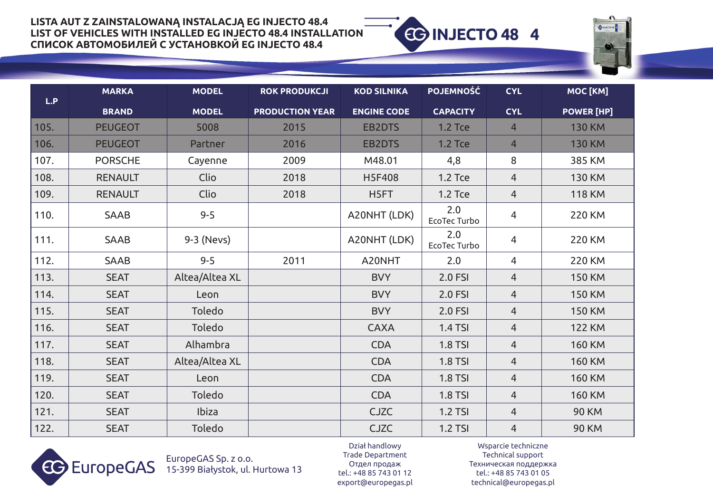



|      | <b>MARKA</b>   | <b>MODEL</b>   | <b>ROK PRODUKCJI</b>   | <b>KOD SILNIKA</b> | <b>POJEMNOŚĆ</b>    | <b>CYL</b>     | MOC [KM]          |
|------|----------------|----------------|------------------------|--------------------|---------------------|----------------|-------------------|
| L.P  | <b>BRAND</b>   | <b>MODEL</b>   | <b>PRODUCTION YEAR</b> | <b>ENGINE CODE</b> | <b>CAPACITY</b>     | <b>CYL</b>     | <b>POWER [HP]</b> |
| 105. | <b>PEUGEOT</b> | 5008           | 2015                   | <b>EB2DTS</b>      | <b>1.2 Tce</b>      | $\overline{4}$ | <b>130 KM</b>     |
| 106. | <b>PEUGEOT</b> | Partner        | 2016                   | <b>EB2DTS</b>      | <b>1.2 Tce</b>      | $\overline{4}$ | <b>130 KM</b>     |
| 107. | <b>PORSCHE</b> | Cayenne        | 2009                   | M48.01             | 4,8                 | 8              | 385 KM            |
| 108. | <b>RENAULT</b> | Clio           | 2018                   | <b>H5F408</b>      | 1.2 Tce             | $\overline{4}$ | <b>130 KM</b>     |
| 109. | <b>RENAULT</b> | Clio           | 2018                   | H5FT               | 1.2 Tce             | $\overline{4}$ | <b>118 KM</b>     |
| 110. | SAAB           | $9 - 5$        |                        | A20NHT (LDK)       | 2.0<br>EcoTec Turbo | $\overline{4}$ | <b>220 KM</b>     |
| 111. | <b>SAAB</b>    | 9-3 (Nevs)     |                        | A20NHT (LDK)       | 2.0<br>EcoTec Turbo | 4              | 220 KM            |
| 112. | <b>SAAB</b>    | $9 - 5$        | 2011                   | A20NHT             | 2.0                 | 4              | <b>220 KM</b>     |
| 113. | <b>SEAT</b>    | Altea/Altea XL |                        | <b>BVY</b>         | 2.0 FSI             | 4              | <b>150 KM</b>     |
| 114. | <b>SEAT</b>    | Leon           |                        | <b>BVY</b>         | 2.0 FSI             | $\overline{4}$ | <b>150 KM</b>     |
| 115. | <b>SEAT</b>    | Toledo         |                        | <b>BVY</b>         | 2.0 FSI             | $\overline{4}$ | <b>150 KM</b>     |
| 116. | <b>SEAT</b>    | Toledo         |                        | <b>CAXA</b>        | <b>1.4 TSI</b>      | $\overline{4}$ | <b>122 KM</b>     |
| 117. | <b>SEAT</b>    | Alhambra       |                        | <b>CDA</b>         | <b>1.8 TSI</b>      | $\overline{4}$ | <b>160 KM</b>     |
| 118. | <b>SEAT</b>    | Altea/Altea XL |                        | <b>CDA</b>         | <b>1.8 TSI</b>      | $\overline{4}$ | <b>160 KM</b>     |
| 119. | <b>SEAT</b>    | Leon           |                        | <b>CDA</b>         | <b>1.8 TSI</b>      | $\overline{4}$ | <b>160 KM</b>     |
| 120. | <b>SEAT</b>    | Toledo         |                        | <b>CDA</b>         | <b>1.8 TSI</b>      | 4              | <b>160 KM</b>     |
| 121. | <b>SEAT</b>    | <b>Ibiza</b>   |                        | <b>CJZC</b>        | <b>1.2 TSI</b>      | $\overline{4}$ | <b>90 KM</b>      |
| 122. | <b>SEAT</b>    | Toledo         |                        | <b>CJZC</b>        | <b>1.2 TSI</b>      | $\overline{4}$ | <b>90 KM</b>      |



EuropeGAS Sp. z o.o. 15-399 Białystok, ul. Hurtowa 13

Dział handlowy Trade Department Oтдел продаж tel.: +48 85 743 01 12 export@europegas.pl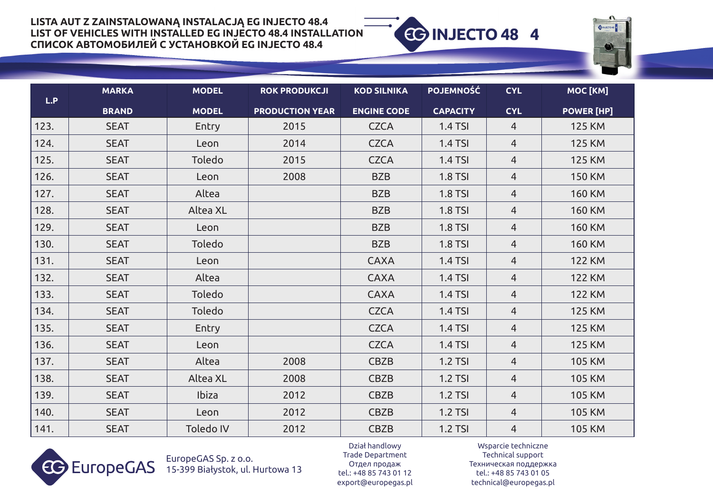



| L.P  | <b>MARKA</b> | <b>MODEL</b> | <b>ROK PRODUKCJI</b>   | <b>KOD SILNIKA</b> | <b>POJEMNOŚĆ</b> | <b>CYL</b>     | MOC [KM]          |
|------|--------------|--------------|------------------------|--------------------|------------------|----------------|-------------------|
|      | <b>BRAND</b> | <b>MODEL</b> | <b>PRODUCTION YEAR</b> | <b>ENGINE CODE</b> | <b>CAPACITY</b>  | <b>CYL</b>     | <b>POWER [HP]</b> |
| 123. | <b>SEAT</b>  | Entry        | 2015                   | <b>CZCA</b>        | <b>1.4 TSI</b>   | 4              | <b>125 KM</b>     |
| 124. | <b>SEAT</b>  | Leon         | 2014                   | <b>CZCA</b>        | <b>1.4 TSI</b>   | $\overline{4}$ | <b>125 KM</b>     |
| 125. | <b>SEAT</b>  | Toledo       | 2015                   | <b>CZCA</b>        | <b>1.4 TSI</b>   | $\overline{4}$ | <b>125 KM</b>     |
| 126. | <b>SEAT</b>  | Leon         | 2008                   | <b>BZB</b>         | <b>1.8 TSI</b>   | $\overline{4}$ | <b>150 KM</b>     |
| 127. | <b>SEAT</b>  | Altea        |                        | <b>BZB</b>         | <b>1.8 TSI</b>   | 4              | <b>160 KM</b>     |
| 128. | <b>SEAT</b>  | Altea XL     |                        | <b>BZB</b>         | <b>1.8 TSI</b>   | $\overline{4}$ | <b>160 KM</b>     |
| 129. | <b>SEAT</b>  | Leon         |                        | <b>BZB</b>         | <b>1.8 TSI</b>   | 4              | <b>160 KM</b>     |
| 130. | <b>SEAT</b>  | Toledo       |                        | <b>BZB</b>         | <b>1.8 TSI</b>   | $\overline{4}$ | <b>160 KM</b>     |
| 131. | <b>SEAT</b>  | Leon         |                        | <b>CAXA</b>        | <b>1.4 TSI</b>   | 4              | <b>122 KM</b>     |
| 132. | <b>SEAT</b>  | Altea        |                        | <b>CAXA</b>        | <b>1.4 TSI</b>   | 4              | <b>122 KM</b>     |
| 133. | <b>SEAT</b>  | Toledo       |                        | <b>CAXA</b>        | <b>1.4 TSI</b>   | $\overline{4}$ | <b>122 KM</b>     |
| 134. | <b>SEAT</b>  | Toledo       |                        | <b>CZCA</b>        | <b>1.4 TSI</b>   | $\overline{4}$ | <b>125 KM</b>     |
| 135. | <b>SEAT</b>  | Entry        |                        | <b>CZCA</b>        | <b>1.4 TSI</b>   | $\overline{4}$ | <b>125 KM</b>     |
| 136. | <b>SEAT</b>  | Leon         |                        | <b>CZCA</b>        | <b>1.4 TSI</b>   | $\overline{4}$ | <b>125 KM</b>     |
| 137. | <b>SEAT</b>  | Altea        | 2008                   | <b>CBZB</b>        | <b>1.2 TSI</b>   | $\overline{4}$ | <b>105 KM</b>     |
| 138. | <b>SEAT</b>  | Altea XL     | 2008                   | <b>CBZB</b>        | <b>1.2 TSI</b>   | 4              | <b>105 KM</b>     |
| 139. | <b>SEAT</b>  | <b>Ibiza</b> | 2012                   | <b>CBZB</b>        | 1.2 TSI          | $\overline{4}$ | <b>105 KM</b>     |
| 140. | <b>SEAT</b>  | Leon         | 2012                   | <b>CBZB</b>        | <b>1.2 TSI</b>   | 4              | <b>105 KM</b>     |
| 141. | <b>SEAT</b>  | Toledo IV    | 2012                   | <b>CBZB</b>        | <b>1.2 TSI</b>   | $\overline{4}$ | <b>105 KM</b>     |



EuropeGAS Sp. z o.o. 15-399 Białystok, ul. Hurtowa 13

Dział handlowy Trade Department Oтдел продаж tel.: +48 85 743 01 12 export@europegas.pl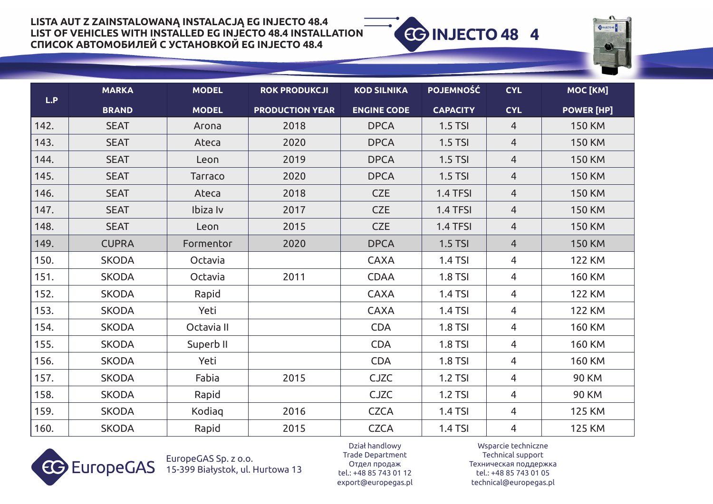



|      | <b>MARKA</b> | <b>MODEL</b>   | <b>ROK PRODUKCJI</b>   | <b>KOD SILNIKA</b> | <b>POJEMNOŚĆ</b> | <b>CYL</b>     | MOC [KM]          |
|------|--------------|----------------|------------------------|--------------------|------------------|----------------|-------------------|
| L.P  | <b>BRAND</b> | <b>MODEL</b>   | <b>PRODUCTION YEAR</b> | <b>ENGINE CODE</b> | <b>CAPACITY</b>  | <b>CYL</b>     | <b>POWER [HP]</b> |
| 142. | <b>SEAT</b>  | Arona          | 2018                   | <b>DPCA</b>        | <b>1.5 TSI</b>   | $\overline{4}$ | <b>150 KM</b>     |
| 143. | <b>SEAT</b>  | Ateca          | 2020                   | <b>DPCA</b>        | <b>1.5 TSI</b>   | $\overline{4}$ | <b>150 KM</b>     |
| 144. | <b>SEAT</b>  | Leon           | 2019                   | <b>DPCA</b>        | $1.5$ TSI        | $\overline{4}$ | <b>150 KM</b>     |
| 145. | <b>SEAT</b>  | <b>Tarraco</b> | 2020                   | <b>DPCA</b>        | $1.5$ TSI        | $\overline{4}$ | <b>150 KM</b>     |
| 146. | <b>SEAT</b>  | Ateca          | 2018                   | <b>CZE</b>         | 1.4 TFSI         | $\overline{4}$ | <b>150 KM</b>     |
| 147. | <b>SEAT</b>  | Ibiza Iv       | 2017                   | <b>CZE</b>         | 1.4 TFSI         | $\overline{4}$ | <b>150 KM</b>     |
| 148. | <b>SEAT</b>  | Leon           | 2015                   | <b>CZE</b>         | 1.4 TFSI         | $\overline{4}$ | <b>150 KM</b>     |
| 149. | <b>CUPRA</b> | Formentor      | 2020                   | <b>DPCA</b>        | $1.5$ TSI        | $\overline{4}$ | <b>150 KM</b>     |
| 150. | <b>SKODA</b> | Octavia        |                        | <b>CAXA</b>        | 1.4 TSI          | 4              | <b>122 KM</b>     |
| 151. | <b>SKODA</b> | Octavia        | 2011                   | <b>CDAA</b>        | <b>1.8 TSI</b>   | $\overline{4}$ | <b>160 KM</b>     |
| 152. | <b>SKODA</b> | Rapid          |                        | <b>CAXA</b>        | <b>1.4 TSI</b>   | $\overline{4}$ | <b>122 KM</b>     |
| 153. | <b>SKODA</b> | Yeti           |                        | <b>CAXA</b>        | <b>1.4 TSI</b>   | $\overline{4}$ | <b>122 KM</b>     |
| 154. | <b>SKODA</b> | Octavia II     |                        | <b>CDA</b>         | <b>1.8 TSI</b>   | 4              | <b>160 KM</b>     |
| 155. | <b>SKODA</b> | Superb II      |                        | <b>CDA</b>         | <b>1.8 TSI</b>   | 4              | <b>160 KM</b>     |
| 156. | <b>SKODA</b> | Yeti           |                        | <b>CDA</b>         | 1.8 TSI          | $\overline{4}$ | <b>160 KM</b>     |
| 157. | <b>SKODA</b> | Fabia          | 2015                   | <b>CJZC</b>        | 1.2 TSI          | $\overline{4}$ | <b>90 KM</b>      |
| 158. | <b>SKODA</b> | Rapid          |                        | <b>CJZC</b>        | 1.2 TSI          | $\overline{4}$ | <b>90 KM</b>      |
| 159. | <b>SKODA</b> | Kodiaq         | 2016                   | <b>CZCA</b>        | 1.4 TSI          | $\overline{4}$ | <b>125 KM</b>     |
| 160. | <b>SKODA</b> | Rapid          | 2015                   | <b>CZCA</b>        | 1.4 TSI          | 4              | <b>125 KM</b>     |



EuropeGAS Sp. z o.o. 15-399 Białystok, ul. Hurtowa 13

Dział handlowy Trade Department Oтдел продаж tel.: +48 85 743 01 12 export@europegas.pl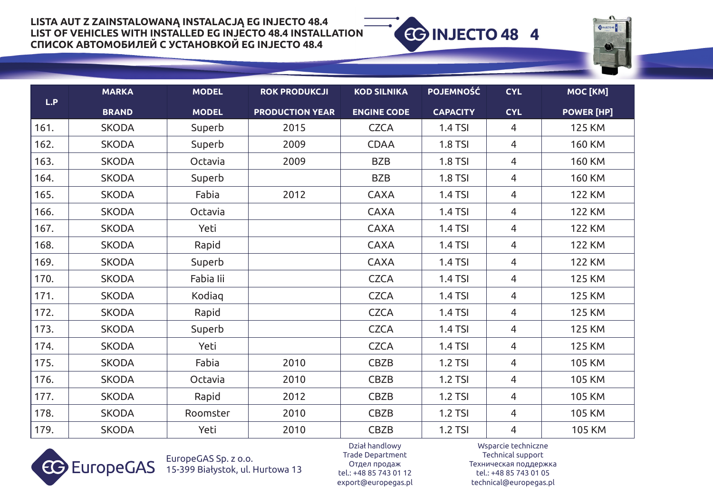



|      | <b>MARKA</b> | <b>MODEL</b> | <b>ROK PRODUKCJI</b>   | <b>KOD SILNIKA</b> | <b>POJEMNOŚĆ</b> | <b>CYL</b>     | MOC [KM]          |
|------|--------------|--------------|------------------------|--------------------|------------------|----------------|-------------------|
| L.P  | <b>BRAND</b> | <b>MODEL</b> | <b>PRODUCTION YEAR</b> | <b>ENGINE CODE</b> | <b>CAPACITY</b>  | <b>CYL</b>     | <b>POWER [HP]</b> |
| 161. | <b>SKODA</b> | Superb       | 2015                   | <b>CZCA</b>        | <b>1.4 TSI</b>   | $\overline{4}$ | <b>125 KM</b>     |
| 162. | <b>SKODA</b> | Superb       | 2009                   | <b>CDAA</b>        | <b>1.8 TSI</b>   | 4              | <b>160 KM</b>     |
| 163. | <b>SKODA</b> | Octavia      | 2009                   | <b>BZB</b>         | <b>1.8 TSI</b>   | 4              | <b>160 KM</b>     |
| 164. | <b>SKODA</b> | Superb       |                        | <b>BZB</b>         | <b>1.8 TSI</b>   | 4              | <b>160 KM</b>     |
| 165. | <b>SKODA</b> | Fabia        | 2012                   | <b>CAXA</b>        | 1.4 TSI          | $\overline{4}$ | <b>122 KM</b>     |
| 166. | <b>SKODA</b> | Octavia      |                        | <b>CAXA</b>        | <b>1.4 TSI</b>   | 4              | <b>122 KM</b>     |
| 167. | <b>SKODA</b> | Yeti         |                        | <b>CAXA</b>        | 1.4 TSI          | $\overline{4}$ | <b>122 KM</b>     |
| 168. | <b>SKODA</b> | Rapid        |                        | <b>CAXA</b>        | 1.4 TSI          | $\overline{4}$ | <b>122 KM</b>     |
| 169. | <b>SKODA</b> | Superb       |                        | <b>CAXA</b>        | 1.4 TSI          | 4              | <b>122 KM</b>     |
| 170. | <b>SKODA</b> | Fabia lii    |                        | <b>CZCA</b>        | <b>1.4 TSI</b>   | $\overline{4}$ | <b>125 KM</b>     |
| 171. | <b>SKODA</b> | Kodiag       |                        | <b>CZCA</b>        | <b>1.4 TSI</b>   | $\overline{4}$ | <b>125 KM</b>     |
| 172. | <b>SKODA</b> | Rapid        |                        | <b>CZCA</b>        | <b>1.4 TSI</b>   | $\overline{4}$ | <b>125 KM</b>     |
| 173. | <b>SKODA</b> | Superb       |                        | <b>CZCA</b>        | 1.4 TSI          | $\overline{4}$ | <b>125 KM</b>     |
| 174. | <b>SKODA</b> | Yeti         |                        | <b>CZCA</b>        | 1.4 TSI          | $\overline{4}$ | <b>125 KM</b>     |
| 175. | <b>SKODA</b> | Fabia        | 2010                   | CBZB               | <b>1.2 TSI</b>   | $\overline{4}$ | <b>105 KM</b>     |
| 176. | <b>SKODA</b> | Octavia      | 2010                   | CBZB               | <b>1.2 TSI</b>   | 4              | <b>105 KM</b>     |
| 177. | <b>SKODA</b> | Rapid        | 2012                   | CBZB               | <b>1.2 TSI</b>   | 4              | <b>105 KM</b>     |
| 178. | <b>SKODA</b> | Roomster     | 2010                   | <b>CBZB</b>        | 1.2 TSI          | 4              | <b>105 KM</b>     |
| 179. | <b>SKODA</b> | Yeti         | 2010                   | CBZB               | 1.2 TSI          | 4              | <b>105 KM</b>     |



EuropeGAS Sp. z o.o. 15-399 Białystok, ul. Hurtowa 13

Dział handlowy Trade Department Oтдел продаж tel.: +48 85 743 01 12 export@europegas.pl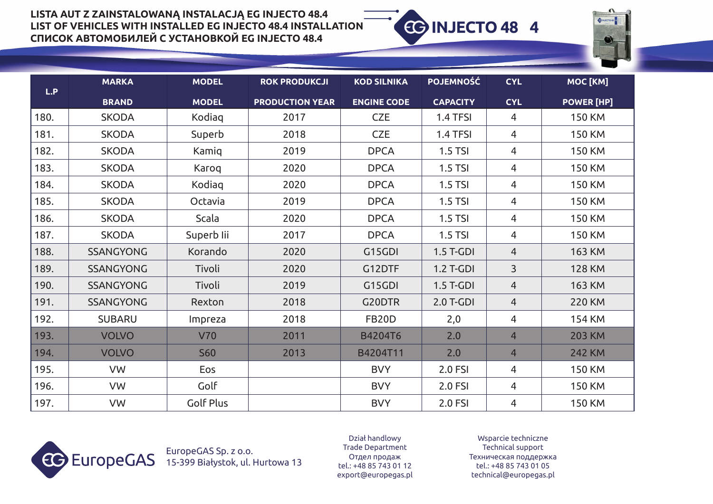

|      | <b>MARKA</b>     | <b>MODEL</b>     | <b>ROK PRODUKCJI</b>   | <b>KOD SILNIKA</b> | <b>POJEMNOŚĆ</b> | <b>CYL</b>     | MOC [KM]          |
|------|------------------|------------------|------------------------|--------------------|------------------|----------------|-------------------|
| L.P  | <b>BRAND</b>     | <b>MODEL</b>     | <b>PRODUCTION YEAR</b> | <b>ENGINE CODE</b> | <b>CAPACITY</b>  | <b>CYL</b>     | <b>POWER [HP]</b> |
| 180. | <b>SKODA</b>     | Kodiag           | 2017                   | <b>CZE</b>         | 1.4 TFSI         | 4              | <b>150 KM</b>     |
| 181. | <b>SKODA</b>     | Superb           | 2018                   | <b>CZE</b>         | 1.4 TFSI         | 4              | <b>150 KM</b>     |
| 182. | <b>SKODA</b>     | Kamiq            | 2019                   | <b>DPCA</b>        | 1.5 TSI          | 4              | <b>150 KM</b>     |
| 183. | <b>SKODA</b>     | Karoq            | 2020                   | <b>DPCA</b>        | $1.5$ TSI        | 4              | <b>150 KM</b>     |
| 184. | <b>SKODA</b>     | Kodiag           | 2020                   | <b>DPCA</b>        | $1.5$ TSI        | 4              | <b>150 KM</b>     |
| 185. | <b>SKODA</b>     | Octavia          | 2019                   | <b>DPCA</b>        | <b>1.5 TSI</b>   | 4              | <b>150 KM</b>     |
| 186. | <b>SKODA</b>     | Scala            | 2020                   | <b>DPCA</b>        | <b>1.5 TSI</b>   | 4              | <b>150 KM</b>     |
| 187. | <b>SKODA</b>     | Superb lii       | 2017                   | <b>DPCA</b>        | $1.5$ TSI        | 4              | <b>150 KM</b>     |
| 188. | <b>SSANGYONG</b> | Korando          | 2020                   | G15GDI             | $1.5$ T-GDI      | $\overline{4}$ | <b>163 KM</b>     |
| 189. | <b>SSANGYONG</b> | Tivoli           | 2020                   | G12DTF             | <b>1.2 T-GDI</b> | 3              | <b>128 KM</b>     |
| 190. | <b>SSANGYONG</b> | Tivoli           | 2019                   | G15GDI             | $1.5$ T-GDI      | $\overline{4}$ | <b>163 KM</b>     |
| 191. | <b>SSANGYONG</b> | Rexton           | 2018                   | G20DTR             | 2.0 T-GDI        | $\overline{4}$ | <b>220 KM</b>     |
| 192. | <b>SUBARU</b>    | Impreza          | 2018                   | <b>FB20D</b>       | 2,0              | 4              | <b>154 KM</b>     |
| 193. | <b>VOLVO</b>     | <b>V70</b>       | 2011                   | B4204T6            | 2.0              | $\overline{4}$ | <b>203 KM</b>     |
| 194. | <b>VOLVO</b>     | <b>S60</b>       | 2013                   | B4204T11           | 2.0              | $\overline{4}$ | <b>242 KM</b>     |
| 195. | VW               | Eos              |                        | <b>BVY</b>         | 2.0 FSI          | 4              | <b>150 KM</b>     |
| 196. | VW               | Golf             |                        | <b>BVY</b>         | 2.0 FSI          | $\overline{4}$ | <b>150 KM</b>     |
| 197. | VW               | <b>Golf Plus</b> |                        | <b>BVY</b>         | 2.0 FSI          | 4              | <b>150 KM</b>     |



EuropeGAS Sp. z o.o. 15-399 Białystok, ul. Hurtowa 13

Dział handlowy Trade Department Oтдел продаж tel.: +48 85 743 01 12 export@europegas.pl

Wsparcie techniczne Technical support Техническая поддержка tel.: +48 85 743 01 05 technical@europegas.pl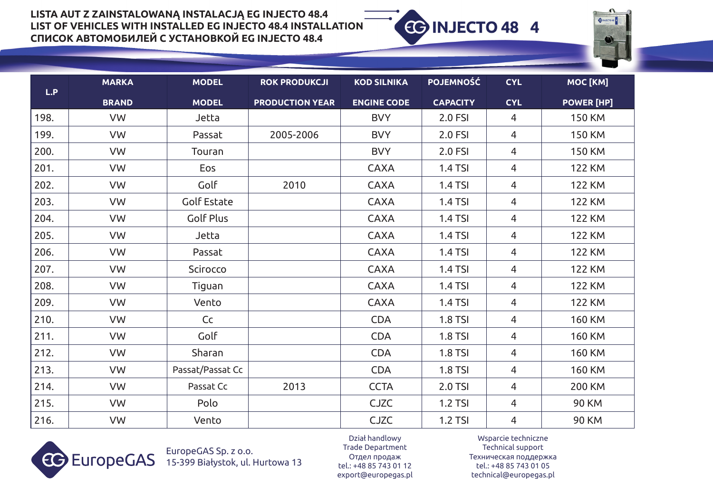

|      | <b>MARKA</b> | <b>MODEL</b>       | <b>ROK PRODUKCJI</b>   | <b>KOD SILNIKA</b> | <b>POJEMNOŚĆ</b> | <b>CYL</b>     | MOC [KM]          |
|------|--------------|--------------------|------------------------|--------------------|------------------|----------------|-------------------|
| L.P  | <b>BRAND</b> | <b>MODEL</b>       | <b>PRODUCTION YEAR</b> | <b>ENGINE CODE</b> | <b>CAPACITY</b>  | <b>CYL</b>     | <b>POWER [HP]</b> |
| 198. | VW           | Jetta              |                        | <b>BVY</b>         | 2.0 FSI          | 4              | <b>150 KM</b>     |
| 199. | VW           | Passat             | 2005-2006              | <b>BVY</b>         | 2.0 FSI          | $\overline{4}$ | <b>150 KM</b>     |
| 200. | VW           | Touran             |                        | <b>BVY</b>         | 2.0 FSI          | 4              | <b>150 KM</b>     |
| 201. | VW           | Eos                |                        | <b>CAXA</b>        | 1.4 TSI          | $\overline{4}$ | <b>122 KM</b>     |
| 202. | VW           | Golf               | 2010                   | <b>CAXA</b>        | 1.4 TSI          | $\overline{4}$ | <b>122 KM</b>     |
| 203. | VW           | <b>Golf Estate</b> |                        | <b>CAXA</b>        | 1.4 TSI          | 4              | <b>122 KM</b>     |
| 204. | VW           | <b>Golf Plus</b>   |                        | <b>CAXA</b>        | 1.4 TSI          | $\overline{4}$ | <b>122 KM</b>     |
| 205. | VW           | Jetta              |                        | <b>CAXA</b>        | 1.4 TSI          | $\overline{4}$ | <b>122 KM</b>     |
| 206. | VW           | Passat             |                        | <b>CAXA</b>        | <b>1.4 TSI</b>   | $\overline{4}$ | <b>122 KM</b>     |
| 207. | VW           | Scirocco           |                        | <b>CAXA</b>        | 1.4 TSI          | $\overline{4}$ | <b>122 KM</b>     |
| 208. | VW           | Tiguan             |                        | <b>CAXA</b>        | <b>1.4 TSI</b>   | $\overline{4}$ | <b>122 KM</b>     |
| 209. | VW           | Vento              |                        | <b>CAXA</b>        | 1.4 TSI          | $\overline{4}$ | <b>122 KM</b>     |
| 210. | VW           | Cc                 |                        | <b>CDA</b>         | <b>1.8 TSI</b>   | $\overline{4}$ | <b>160 KM</b>     |
| 211. | VW           | Golf               |                        | <b>CDA</b>         | <b>1.8 TSI</b>   | $\overline{4}$ | <b>160 KM</b>     |
| 212. | VW           | Sharan             |                        | <b>CDA</b>         | <b>1.8 TSI</b>   | $\overline{4}$ | <b>160 KM</b>     |
| 213. | VW           | Passat/Passat Cc   |                        | <b>CDA</b>         | <b>1.8 TSI</b>   | 4              | <b>160 KM</b>     |
| 214. | VW           | Passat Cc          | 2013                   | <b>CCTA</b>        | 2.0 TSI          | 4              | <b>200 KM</b>     |
| 215. | VW           | Polo               |                        | <b>CJZC</b>        | <b>1.2 TSI</b>   | 4              | <b>90 KM</b>      |
| 216. | VW           | Vento              |                        | CJZC               | 1.2 TSI          | $\overline{4}$ | <b>90 KM</b>      |



EuropeGAS Sp. z o.o. 15-399 Białystok, ul. Hurtowa 13

Dział handlowy Trade Department Oтдел продаж tel.: +48 85 743 01 12 export@europegas.pl

Wsparcie techniczne Technical support Техническая поддержка tel.: +48 85 743 01 05 technical@europegas.pl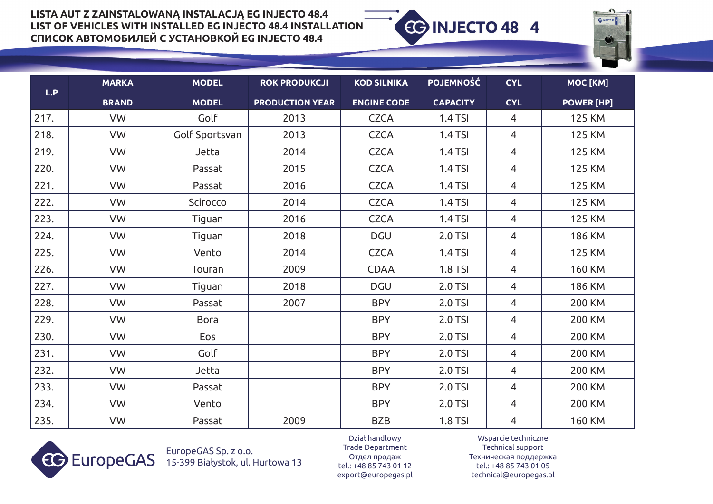

| L.P  | <b>MARKA</b> | <b>MODEL</b>   | <b>ROK PRODUKCJI</b>   | <b>KOD SILNIKA</b> | <b>POJEMNOŚĆ</b> | <b>CYL</b>     | MOC [KM]          |
|------|--------------|----------------|------------------------|--------------------|------------------|----------------|-------------------|
|      | <b>BRAND</b> | <b>MODEL</b>   | <b>PRODUCTION YEAR</b> | <b>ENGINE CODE</b> | <b>CAPACITY</b>  | <b>CYL</b>     | <b>POWER [HP]</b> |
| 217. | VW           | Golf           | 2013                   | <b>CZCA</b>        | 1.4 TSI          | 4              | <b>125 KM</b>     |
| 218. | VW           | Golf Sportsvan | 2013                   | <b>CZCA</b>        | 1.4 TSI          | $\overline{4}$ | <b>125 KM</b>     |
| 219. | VW           | Jetta          | 2014                   | <b>CZCA</b>        | <b>1.4 TSI</b>   | 4              | <b>125 KM</b>     |
| 220. | VW           | Passat         | 2015                   | <b>CZCA</b>        | <b>1.4 TSI</b>   | $\overline{4}$ | <b>125 KM</b>     |
| 221. | VW           | Passat         | 2016                   | <b>CZCA</b>        | 1.4 TSI          | 4              | <b>125 KM</b>     |
| 222. | VW           | Scirocco       | 2014                   | <b>CZCA</b>        | 1.4 TSI          | 4              | <b>125 KM</b>     |
| 223. | VW           | Tiguan         | 2016                   | <b>CZCA</b>        | 1.4 TSI          | 4              | <b>125 KM</b>     |
| 224. | VW           | Tiguan         | 2018                   | <b>DGU</b>         | 2.0 TSI          | 4              | <b>186 KM</b>     |
| 225. | VW           | Vento          | 2014                   | <b>CZCA</b>        | <b>1.4 TSI</b>   | 4              | <b>125 KM</b>     |
| 226. | VW           | Touran         | 2009                   | <b>CDAA</b>        | <b>1.8 TSI</b>   | 4              | <b>160 KM</b>     |
| 227. | VW           | Tiguan         | 2018                   | <b>DGU</b>         | 2.0 TSI          | $\overline{4}$ | <b>186 KM</b>     |
| 228. | VW           | Passat         | 2007                   | <b>BPY</b>         | 2.0 TSI          | 4              | <b>200 KM</b>     |
| 229. | VW           | <b>Bora</b>    |                        | <b>BPY</b>         | 2.0 TSI          | $\overline{4}$ | <b>200 KM</b>     |
| 230. | VW           | Eos            |                        | <b>BPY</b>         | 2.0 TSI          | 4              | <b>200 KM</b>     |
| 231. | VW           | Golf           |                        | <b>BPY</b>         | 2.0 TSI          | $\overline{4}$ | <b>200 KM</b>     |
| 232. | VW           | Jetta          |                        | <b>BPY</b>         | 2.0 TSI          | 4              | <b>200 KM</b>     |
| 233. | VW           | Passat         |                        | <b>BPY</b>         | 2.0 TSI          | 4              | <b>200 KM</b>     |
| 234. | VW           | Vento          |                        | <b>BPY</b>         | 2.0 TSI          | 4              | <b>200 KM</b>     |
| 235. | VW           | Passat         | 2009                   | <b>BZB</b>         | <b>1.8 TSI</b>   | 4              | <b>160 KM</b>     |



EuropeGAS Sp. z o.o. 15-399 Białystok, ul. Hurtowa 13

Dział handlowy Trade Department Oтдел продаж tel.: +48 85 743 01 12 export@europegas.pl

Wsparcie techniczne Technical support Техническая поддержка tel.: +48 85 743 01 05 technical@europegas.pl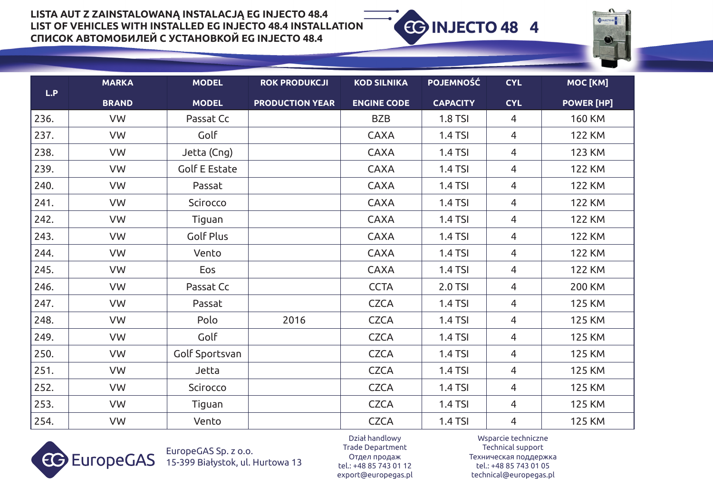

|      | <b>MARKA</b> | <b>MODEL</b>         | <b>ROK PRODUKCJI</b>   | <b>KOD SILNIKA</b> | <b>POJEMNOŚĆ</b> | <b>CYL</b>     | MOC [KM]          |
|------|--------------|----------------------|------------------------|--------------------|------------------|----------------|-------------------|
| L.P  | <b>BRAND</b> | <b>MODEL</b>         | <b>PRODUCTION YEAR</b> | <b>ENGINE CODE</b> | <b>CAPACITY</b>  | <b>CYL</b>     | <b>POWER [HP]</b> |
| 236. | VW           | Passat Cc            |                        | <b>BZB</b>         | <b>1.8 TSI</b>   | 4              | <b>160 KM</b>     |
| 237. | VW           | Golf                 |                        | <b>CAXA</b>        | <b>1.4 TSI</b>   | $\overline{4}$ | <b>122 KM</b>     |
| 238. | VW           | Jetta (Cng)          |                        | <b>CAXA</b>        | 1.4 TSI          | 4              | <b>123 KM</b>     |
| 239. | VW           | <b>Golf E Estate</b> |                        | <b>CAXA</b>        | 1.4 TSI          | 4              | <b>122 KM</b>     |
| 240. | VW           | Passat               |                        | <b>CAXA</b>        | 1.4 TSI          | $\overline{4}$ | <b>122 KM</b>     |
| 241. | VW           | Scirocco             |                        | <b>CAXA</b>        | 1.4 TSI          | 4              | <b>122 KM</b>     |
| 242. | VW           | Tiguan               |                        | <b>CAXA</b>        | 1.4 TSI          | $\overline{4}$ | <b>122 KM</b>     |
| 243. | VW           | Golf Plus            |                        | <b>CAXA</b>        | 1.4 TSI          | $\overline{4}$ | <b>122 KM</b>     |
| 244. | VW           | Vento                |                        | <b>CAXA</b>        | 1.4 TSI          | 4              | <b>122 KM</b>     |
| 245. | VW           | Eos                  |                        | <b>CAXA</b>        | 1.4 TSI          | $\overline{4}$ | <b>122 KM</b>     |
| 246. | VW           | Passat Cc            |                        | <b>CCTA</b>        | 2.0 TSI          | $\overline{4}$ | <b>200 KM</b>     |
| 247. | VW           | Passat               |                        | <b>CZCA</b>        | 1.4 TSI          | $\overline{4}$ | <b>125 KM</b>     |
| 248. | VW           | Polo                 | 2016                   | <b>CZCA</b>        | 1.4 TSI          | $\overline{4}$ | <b>125 KM</b>     |
| 249. | VW           | Golf                 |                        | <b>CZCA</b>        | 1.4 TSI          | 4              | <b>125 KM</b>     |
| 250. | VW           | Golf Sportsvan       |                        | <b>CZCA</b>        | 1.4 TSI          | $\overline{4}$ | <b>125 KM</b>     |
| 251. | VW           | Jetta                |                        | <b>CZCA</b>        | 1.4 TSI          | 4              | <b>125 KM</b>     |
| 252. | VW           | Scirocco             |                        | <b>CZCA</b>        | 1.4 TSI          | $\overline{4}$ | <b>125 KM</b>     |
| 253. | VW           | Tiguan               |                        | <b>CZCA</b>        | <b>1.4 TSI</b>   | 4              | <b>125 KM</b>     |
| 254. | VW           | Vento                |                        | <b>CZCA</b>        | 1.4 TSI          | 4              | <b>125 KM</b>     |



EuropeGAS Sp. z o.o. 15-399 Białystok, ul. Hurtowa 13

Dział handlowy Trade Department Oтдел продаж tel.: +48 85 743 01 12 export@europegas.pl

Wsparcie techniczne Technical support Техническая поддержка tel.: +48 85 743 01 05 technical@europegas.pl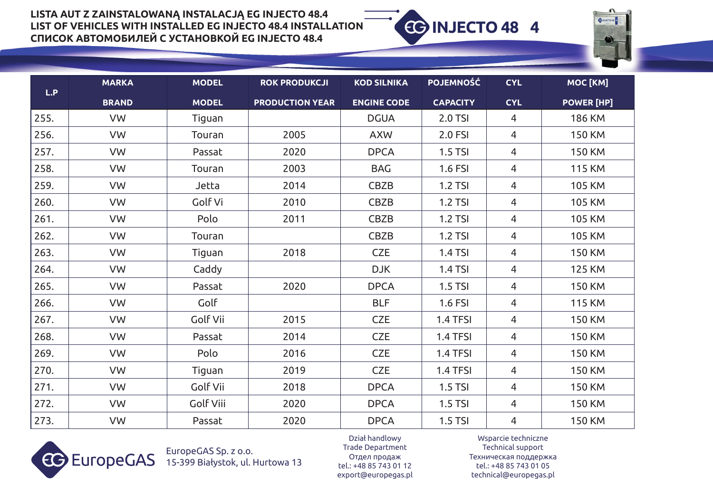

| L.P  | <b>MARKA</b> | <b>MODEL</b>     | <b>ROK PRODUKCJI</b>   | <b>KOD SILNIKA</b> | <b>POJEMNOŚĆ</b> | <b>CYL</b>     | MOC [KM]          |
|------|--------------|------------------|------------------------|--------------------|------------------|----------------|-------------------|
|      | <b>BRAND</b> | <b>MODEL</b>     | <b>PRODUCTION YEAR</b> | <b>ENGINE CODE</b> | <b>CAPACITY</b>  | <b>CYL</b>     | <b>POWER [HP]</b> |
| 255. | VW           | Tiguan           |                        | <b>DGUA</b>        | 2.0 TSI          | 4              | <b>186 KM</b>     |
| 256. | VW           | Touran           | 2005                   | <b>AXW</b>         | 2.0 FSI          | 4              | <b>150 KM</b>     |
| 257. | VW           | Passat           | 2020                   | <b>DPCA</b>        | <b>1.5 TSI</b>   | $\overline{4}$ | <b>150 KM</b>     |
| 258. | VW           | Touran           | 2003                   | <b>BAG</b>         | 1.6 FSI          | 4              | <b>115 KM</b>     |
| 259. | VW           | Jetta            | 2014                   | CBZB               | <b>1.2 TSI</b>   | 4              | <b>105 KM</b>     |
| 260. | VW           | Golf Vi          | 2010                   | <b>CBZB</b>        | 1.2 TSI          | $\overline{4}$ | <b>105 KM</b>     |
| 261. | VW           | Polo             | 2011                   | CBZB               | 1.2 TSI          | $\overline{4}$ | <b>105 KM</b>     |
| 262. | VW           | Touran           |                        | <b>CBZB</b>        | <b>1.2 TSI</b>   | $\overline{4}$ | <b>105 KM</b>     |
| 263. | VW           | Tiguan           | 2018                   | <b>CZE</b>         | 1.4 TSI          | $\overline{4}$ | <b>150 KM</b>     |
| 264. | VW           | Caddy            |                        | <b>DJK</b>         | 1.4 TSI          | 4              | <b>125 KM</b>     |
| 265. | VW           | Passat           | 2020                   | <b>DPCA</b>        | $1.5$ TSI        | $\overline{4}$ | <b>150 KM</b>     |
| 266. | VW           | Golf             |                        | <b>BLF</b>         | 1.6 FSI          | 4              | <b>115 KM</b>     |
| 267. | VW           | Golf Vii         | 2015                   | <b>CZE</b>         | 1.4 TFSI         | 4              | <b>150 KM</b>     |
| 268. | VW           | Passat           | 2014                   | <b>CZE</b>         | 1.4 TFSI         | $\overline{4}$ | <b>150 KM</b>     |
| 269. | VW           | Polo             | 2016                   | <b>CZE</b>         | 1.4 TFSI         | $\overline{4}$ | <b>150 KM</b>     |
| 270. | VW           | Tiguan           | 2019                   | <b>CZE</b>         | 1.4 TFSI         | $\overline{4}$ | <b>150 KM</b>     |
| 271. | VW           | Golf Vii         | 2018                   | <b>DPCA</b>        | <b>1.5 TSI</b>   | $\overline{4}$ | <b>150 KM</b>     |
| 272. | <b>VW</b>    | <b>Golf Viii</b> | 2020                   | <b>DPCA</b>        | $1.5$ TSI        | 4              | <b>150 KM</b>     |
| 273. | VW           | Passat           | 2020                   | <b>DPCA</b>        | $1.5$ TSI        | $\overline{4}$ | <b>150 KM</b>     |



EuropeGAS Sp. z o.o. 15-399 Białystok, ul. Hurtowa 13

Dział handlowy Trade Department Oтдел продаж tel.: +48 85 743 01 12 export@europegas.pl

Wsparcie techniczne Technical support Техническая поддержка tel.: +48 85 743 01 05 technical@europegas.pl